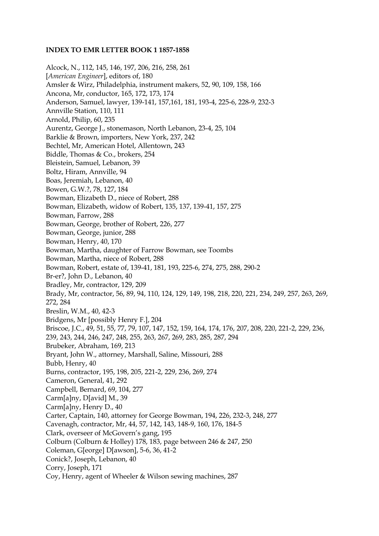## **INDEX TO EMR LETTER BOOK 1 1857-1858**

Alcock, N., 112, 145, 146, 197, 206, 216, 258, 261 [*American Engineer*], editors of, 180 Amsler & Wirz, Philadelphia, instrument makers, 52, 90, 109, 158, 166 Ancona, Mr, conductor, 165, 172, 173, 174 Anderson, Samuel, lawyer, 139-141, 157,161, 181, 193-4, 225-6, 228-9, 232-3 Annville Station, 110, 111 Arnold, Philip, 60, 235 Aurentz, George J., stonemason, North Lebanon, 23-4, 25, 104 Barklie & Brown, importers, New York, 237, 242 Bechtel, Mr, American Hotel, Allentown, 243 Biddle, Thomas & Co., brokers, 254 Bleistein, Samuel, Lebanon, 39 Boltz, Hiram, Annville, 94 Boas, Jeremiah, Lebanon, 40 Bowen, G.W.?, 78, 127, 184 Bowman, Elizabeth D., niece of Robert, 288 Bowman, Elizabeth, widow of Robert, 135, 137, 139-41, 157, 275 Bowman, Farrow, 288 Bowman, George, brother of Robert, 226, 277 Bowman, George, junior, 288 Bowman, Henry, 40, 170 Bowman, Martha, daughter of Farrow Bowman, see Toombs Bowman, Martha, niece of Robert, 288 Bowman, Robert, estate of, 139-41, 181, 193, 225-6, 274, 275, 288, 290-2 Br-er?, John D., Lebanon, 40 Bradley, Mr, contractor, 129, 209 Brady, Mr, contractor, 56, 89, 94, 110, 124, 129, 149, 198, 218, 220, 221, 234, 249, 257, 263, 269, 272, 284 Breslin, W.M., 40, 42-3 Bridgens, Mr [possibly Henry F.], 204 Briscoe, J.C., 49, 51, 55, 77, 79, 107, 147, 152, 159, 164, 174, 176, 207, 208, 220, 221-2, 229, 236, 239, 243, 244, 246, 247, 248, 255, 263, 267, 269, 283, 285, 287, 294 Brubeker, Abraham, 169, 213 Bryant, John W., attorney, Marshall, Saline, Missouri, 288 Bubb, Henry, 40 Burns, contractor, 195, 198, 205, 221-2, 229, 236, 269, 274 Cameron, General, 41, 292 Campbell, Bernard, 69, 104, 277 Carm[a]ny, D[avid] M., 39 Carm[a]ny, Henry D., 40 Carter, Captain, 140, attorney for George Bowman, 194, 226, 232-3, 248, 277 Cavenagh, contractor, Mr, 44, 57, 142, 143, 148-9, 160, 176, 184-5 Clark, overseer of McGovern's gang, 195 Colburn (Colburn & Holley) 178, 183, page between 246 & 247, 250 Coleman, G[eorge] D[awson], 5-6, 36, 41-2 Conick?, Joseph, Lebanon, 40 Corry, Joseph, 171 Coy, Henry, agent of Wheeler & Wilson sewing machines, 287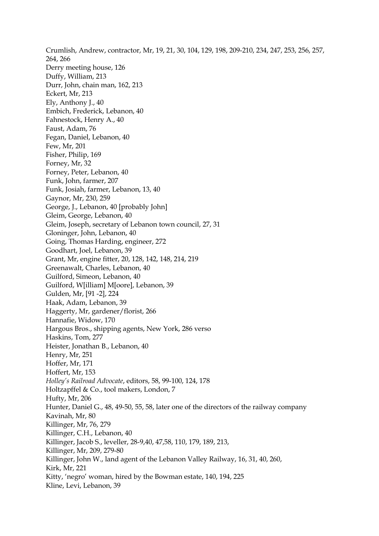Crumlish, Andrew, contractor, Mr, 19, 21, 30, 104, 129, 198, 209-210, 234, 247, 253, 256, 257, 264, 266 Derry meeting house, 126 Duffy, William, 213 Durr, John, chain man, 162, 213 Eckert, Mr, 213 Ely, Anthony J., 40 Embich, Frederick, Lebanon, 40 Fahnestock, Henry A., 40 Faust, Adam, 76 Fegan, Daniel, Lebanon, 40 Few, Mr, 201 Fisher, Philip, 169 Forney, Mr, 32 Forney, Peter, Lebanon, 40 Funk, John, farmer, 207 Funk, Josiah, farmer, Lebanon, 13, 40 Gaynor, Mr, 230, 259 George, J., Lebanon, 40 [probably John] Gleim, George, Lebanon, 40 Gleim, Joseph, secretary of Lebanon town council, 27, 31 Gloninger, John, Lebanon, 40 Going, Thomas Harding, engineer, 272 Goodhart, Joel, Lebanon, 39 Grant, Mr, engine fitter, 20, 128, 142, 148, 214, 219 Greenawalt, Charles, Lebanon, 40 Guilford, Simeon, Lebanon, 40 Guilford, W[illiam] M[oore], Lebanon, 39 Gulden, Mr, [91 -2], 224 Haak, Adam, Lebanon, 39 Haggerty, Mr, gardener/florist, 266 Hannafie, Widow, 170 Hargous Bros., shipping agents, New York, 286 verso Haskins, Tom, 277 Heister, Jonathan B., Lebanon, 40 Henry, Mr, 251 Hoffer, Mr, 171 Hoffert, Mr, 153 *Holley's Railroad Advocate*, editors, 58, 99-100, 124, 178 Holtzapffel & Co., tool makers, London, 7 Hufty, Mr, 206 Hunter, Daniel G., 48, 49-50, 55, 58, later one of the directors of the railway company Kavinah, Mr, 80 Killinger, Mr, 76, 279 Killinger, C.H., Lebanon, 40 Killinger, Jacob S., leveller, 28-9,40, 47,58, 110, 179, 189, 213, Killinger, Mr, 209, 279-80 Killinger, John W., land agent of the Lebanon Valley Railway, 16, 31, 40, 260, Kirk, Mr, 221 Kitty, 'negro' woman, hired by the Bowman estate, 140, 194, 225 Kline, Levi, Lebanon, 39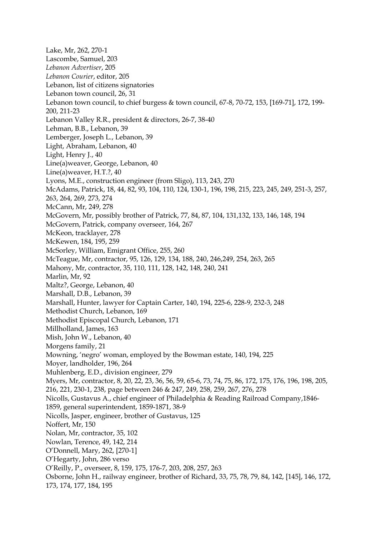Lake, Mr, 262, 270-1 Lascombe, Samuel, 203 *Lebanon Advertiser*, 205 *Lebanon Courier*, editor, 205 Lebanon, list of citizens signatories Lebanon town council, 26, 31 Lebanon town council, to chief burgess & town council, 67-8, 70-72, 153, [169-71], 172, 199- 200, 211-23 Lebanon Valley R.R., president & directors, 26-7, 38-40 Lehman, B.B., Lebanon, 39 Lemberger, Joseph L., Lebanon, 39 Light, Abraham, Lebanon, 40 Light, Henry J., 40 Line(a)weaver, George, Lebanon, 40 Line(a)weaver, H.T.?, 40 Lyons, M.E., construction engineer (from Sligo), 113, 243, 270 McAdams, Patrick, 18, 44, 82, 93, 104, 110, 124, 130-1, 196, 198, 215, 223, 245, 249, 251-3, 257, 263, 264, 269, 273, 274 McCann, Mr, 249, 278 McGovern, Mr, possibly brother of Patrick, 77, 84, 87, 104, 131,132, 133, 146, 148, 194 McGovern, Patrick, company overseer, 164, 267 McKeon, tracklayer, 278 McKewen, 184, 195, 259 McSorley, William, Emigrant Office, 255, 260 McTeague, Mr, contractor, 95, 126, 129, 134, 188, 240, 246,249, 254, 263, 265 Mahony, Mr, contractor, 35, 110, 111, 128, 142, 148, 240, 241 Marlin, Mr, 92 Maltz?, George, Lebanon, 40 Marshall, D.B., Lebanon, 39 Marshall, Hunter, lawyer for Captain Carter, 140, 194, 225-6, 228-9, 232-3, 248 Methodist Church, Lebanon, 169 Methodist Episcopal Church, Lebanon, 171 Millholland, James, 163 Mish, John W., Lebanon, 40 Morgens family, 21 Mowning, 'negro' woman, employed by the Bowman estate, 140, 194, 225 Moyer, landholder, 196, 264 Muhlenberg, E.D., division engineer, 279 Myers, Mr, contractor, 8, 20, 22, 23, 36, 56, 59, 65-6, 73, 74, 75, 86, 172, 175, 176, 196, 198, 205, 216, 221, 230-1, 238, page between 246 & 247, 249, 258, 259, 267, 276, 278 Nicolls, Gustavus A., chief engineer of Philadelphia & Reading Railroad Company,1846- 1859, general superintendent, 1859-1871, 38-9 Nicolls, Jasper, engineer, brother of Gustavus, 125 Noffert, Mr, 150 Nolan, Mr, contractor, 35, 102 Nowlan, Terence, 49, 142, 214 O'Donnell, Mary, 262, [270-1] O'Hegarty, John, 286 verso O'Reilly, P., overseer, 8, 159, 175, 176-7, 203, 208, 257, 263 Osborne, John H., railway engineer, brother of Richard, 33, 75, 78, 79, 84, 142, [145], 146, 172, 173, 174, 177, 184, 195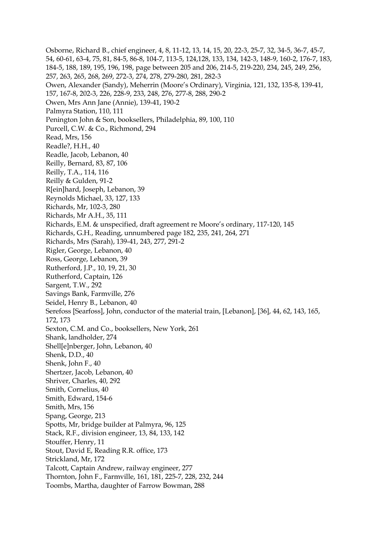Osborne, Richard B., chief engineer, 4, 8, 11-12, 13, 14, 15, 20, 22-3, 25-7, 32, 34-5, 36-7, 45-7, 54, 60-61, 63-4, 75, 81, 84-5, 86-8, 104-7, 113-5, 124,128, 133, 134, 142-3, 148-9, 160-2, 176-7, 183, 184-5, 188, 189, 195, 196, 198, page between 205 and 206, 214-5, 219-220, 234, 245, 249, 256, 257, 263, 265, 268, 269, 272-3, 274, 278, 279-280, 281, 282-3 Owen, Alexander (Sandy), Meherrin (Moore's Ordinary), Virginia, 121, 132, 135-8, 139-41, 157, 167-8, 202-3, 226, 228-9, 233, 248, 276, 277-8, 288, 290-2 Owen, Mrs Ann Jane (Annie), 139-41, 190-2 Palmyra Station, 110, 111 Penington John & Son, booksellers, Philadelphia, 89, 100, 110 Purcell, C.W. & Co., Richmond, 294 Read, Mrs, 156 Readle?, H.H., 40 Readle, Jacob, Lebanon, 40 Reilly, Bernard, 83, 87, 106 Reilly, T.A., 114, 116 Reilly & Gulden, 91-2 R[ein]hard, Joseph, Lebanon, 39 Reynolds Michael, 33, 127, 133 Richards, Mr, 102-3, 280 Richards, Mr A.H., 35, 111 Richards, E.M. & unspecified, draft agreement re Moore's ordinary, 117-120, 145 Richards, G.H., Reading, unnumbered page 182, 235, 241, 264, 271 Richards, Mrs (Sarah), 139-41, 243, 277, 291-2 Rigler, George, Lebanon, 40 Ross, George, Lebanon, 39 Rutherford, J.P., 10, 19, 21, 30 Rutherford, Captain, 126 Sargent, T.W., 292 Savings Bank, Farmville, 276 Seidel, Henry B., Lebanon, 40 Serefoss [Searfoss], John, conductor of the material train, [Lebanon], [36], 44, 62, 143, 165, 172, 173 Sexton, C.M. and Co., booksellers, New York, 261 Shank, landholder, 274 Shell[e]nberger, John, Lebanon, 40 Shenk, D.D., 40 Shenk, John F., 40 Shertzer, Jacob, Lebanon, 40 Shriver, Charles, 40, 292 Smith, Cornelius, 40 Smith, Edward, 154-6 Smith, Mrs, 156 Spang, George, 213 Spotts, Mr, bridge builder at Palmyra, 96, 125 Stack, R.F., division engineer, 13, 84, 133, 142 Stouffer, Henry, 11 Stout, David E, Reading R.R. office, 173 Strickland, Mr, 172 Talcott, Captain Andrew, railway engineer, 277 Thornton, John F., Farmville, 161, 181, 225-7, 228, 232, 244 Toombs, Martha, daughter of Farrow Bowman, 288